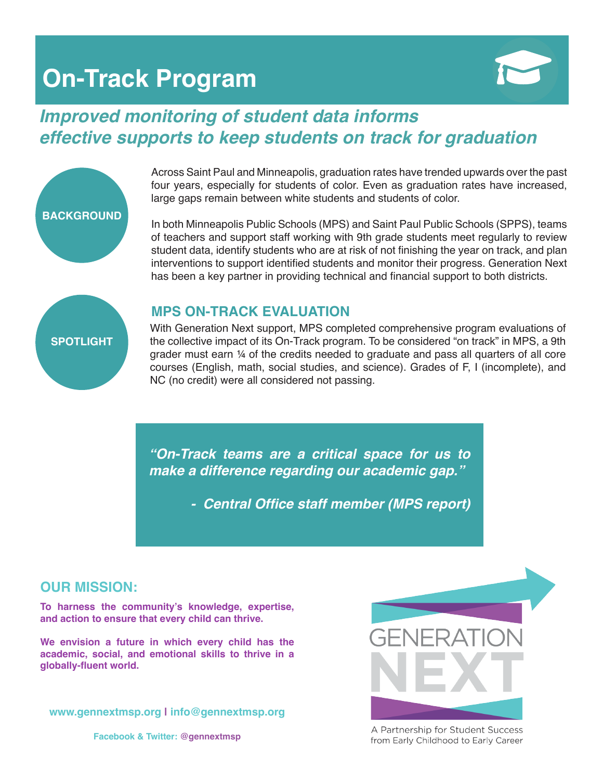## **On-Track Program**



### *Improved monitoring of student data informs effective supports to keep students on track for graduation*



In both Minneapolis Public Schools (MPS) and Saint Paul Public Schools (SPPS), teams of teachers and support staff working with 9th grade students meet regularly to review student data, identify students who are at risk of not finishing the year on track, and plan interventions to support identified students and monitor their progress. Generation Next has been a key partner in providing technical and financial support to both districts.

# **SPOTLIGHT**

**BACKGROUND**

#### **MPS ON-TRACK EVALUATION**

With Generation Next support, MPS completed comprehensive program evaluations of the collective impact of its On-Track program. To be considered "on track" in MPS, a 9th grader must earn ¼ of the credits needed to graduate and pass all quarters of all core courses (English, math, social studies, and science). Grades of F, I (incomplete), and NC (no credit) were all considered not passing.

*"On-Track teams are a critical space for us to make a difference regarding our academic gap."*

 **- Central Office staff member (MPS report)**

#### **OUR MISSION:**

**To harness the community's knowledge, expertise, and action to ensure that every child can thrive.** 

**We envision a future in which every child has the academic, social, and emotional skills to thrive in a globally-fluent world.**

**www.gennextmsp.org | info@gennextmsp.org**

**Facebook & Twitter: @gennextmsp**



A Partnership for Student Success from Early Childhood to Early Career